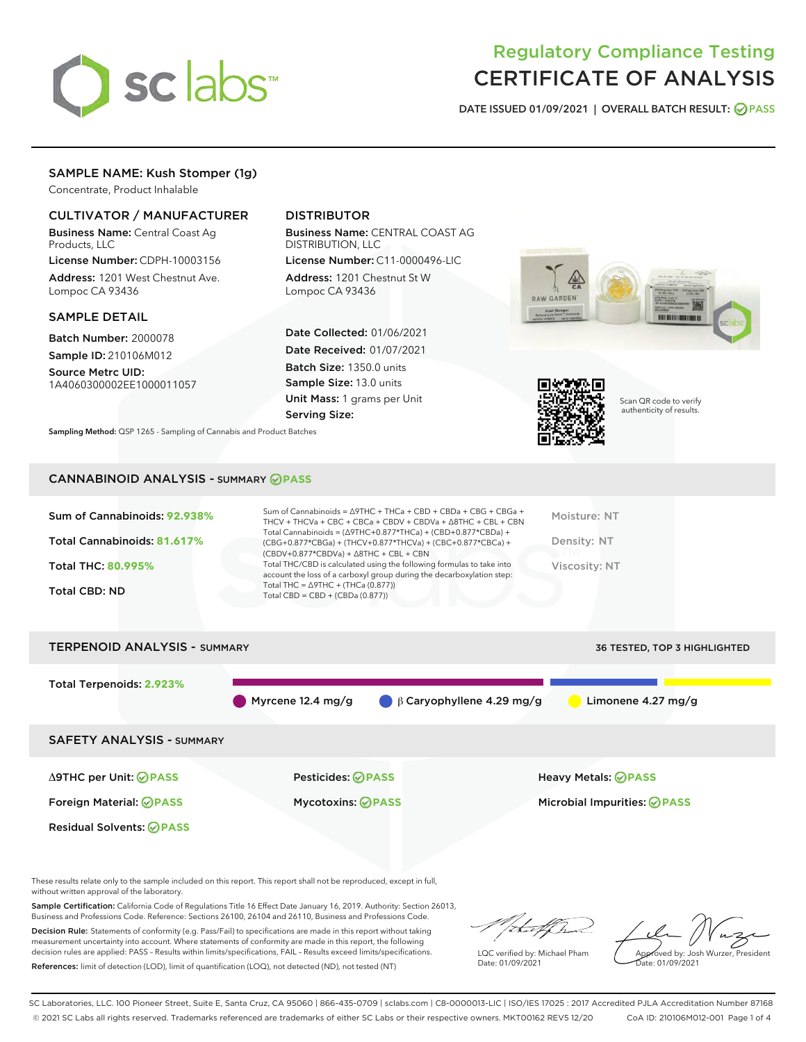

# Regulatory Compliance Testing CERTIFICATE OF ANALYSIS

DATE ISSUED 01/09/2021 | OVERALL BATCH RESULT: @ PASS

# SAMPLE NAME: Kush Stomper (1g)

Concentrate, Product Inhalable

## CULTIVATOR / MANUFACTURER

Business Name: Central Coast Ag Products, LLC

License Number: CDPH-10003156 Address: 1201 West Chestnut Ave. Lompoc CA 93436

#### SAMPLE DETAIL

Batch Number: 2000078 Sample ID: 210106M012

Source Metrc UID: 1A4060300002EE1000011057

# DISTRIBUTOR

Business Name: CENTRAL COAST AG DISTRIBUTION, LLC

License Number: C11-0000496-LIC Address: 1201 Chestnut St W Lompoc CA 93436

Date Collected: 01/06/2021 Date Received: 01/07/2021 Batch Size: 1350.0 units Sample Size: 13.0 units Unit Mass: 1 grams per Unit Serving Size:





Scan QR code to verify authenticity of results.

Sampling Method: QSP 1265 - Sampling of Cannabis and Product Batches

## CANNABINOID ANALYSIS - SUMMARY **PASS**

| Total THC = $\triangle$ 9THC + (THCa (0.877))<br><b>Total CBD: ND</b><br>Total CBD = $CBD + (CBDa (0.877))$ | Sum of Cannabinoids: 92.938%<br>Total Cannabinoids: 81.617%<br><b>Total THC: 80.995%</b> | Sum of Cannabinoids = $\triangle$ 9THC + THCa + CBD + CBDa + CBG + CBGa +<br>THCV + THCVa + CBC + CBCa + CBDV + CBDVa + $\land$ 8THC + CBL + CBN<br>Total Cannabinoids = $(\Delta$ 9THC+0.877*THCa) + (CBD+0.877*CBDa) +<br>(CBG+0.877*CBGa) + (THCV+0.877*THCVa) + (CBC+0.877*CBCa) +<br>$(CBDV+0.877*CBDVa) + \Delta 8THC + CBL + CBN$<br>Total THC/CBD is calculated using the following formulas to take into<br>account the loss of a carboxyl group during the decarboxylation step: | Moisture: NT<br>Density: NT<br>Viscosity: NT |
|-------------------------------------------------------------------------------------------------------------|------------------------------------------------------------------------------------------|--------------------------------------------------------------------------------------------------------------------------------------------------------------------------------------------------------------------------------------------------------------------------------------------------------------------------------------------------------------------------------------------------------------------------------------------------------------------------------------------|----------------------------------------------|
|                                                                                                             |                                                                                          |                                                                                                                                                                                                                                                                                                                                                                                                                                                                                            |                                              |

| <b>TERPENOID ANALYSIS - SUMMARY</b> |                          |                                            | <b>36 TESTED, TOP 3 HIGHLIGHTED</b> |
|-------------------------------------|--------------------------|--------------------------------------------|-------------------------------------|
| Total Terpenoids: 2.923%            | Myrcene 12.4 mg/g        | $\bigcirc$ $\beta$ Caryophyllene 4.29 mg/g | Limonene 4.27 mg/g                  |
| <b>SAFETY ANALYSIS - SUMMARY</b>    |                          |                                            |                                     |
| ∆9THC per Unit: ⊘PASS               | <b>Pesticides: ⊘PASS</b> |                                            | <b>Heavy Metals: ⊘ PASS</b>         |
| Foreign Material: <b>⊘ PASS</b>     | <b>Mycotoxins: ⊘PASS</b> |                                            | Microbial Impurities: <b>OPASS</b>  |
| <b>Residual Solvents: ⊘ PASS</b>    |                          |                                            |                                     |

These results relate only to the sample included on this report. This report shall not be reproduced, except in full, without written approval of the laboratory.

Sample Certification: California Code of Regulations Title 16 Effect Date January 16, 2019. Authority: Section 26013, Business and Professions Code. Reference: Sections 26100, 26104 and 26110, Business and Professions Code.

Decision Rule: Statements of conformity (e.g. Pass/Fail) to specifications are made in this report without taking measurement uncertainty into account. Where statements of conformity are made in this report, the following decision rules are applied: PASS – Results within limits/specifications, FAIL – Results exceed limits/specifications. References: limit of detection (LOD), limit of quantification (LOQ), not detected (ND), not tested (NT)

/ib...tf/h

LQC verified by: Michael Pham Date: 01/09/2021

Approved by: Josh Wurzer, President Date: 01/09/2021

SC Laboratories, LLC. 100 Pioneer Street, Suite E, Santa Cruz, CA 95060 | 866-435-0709 | sclabs.com | C8-0000013-LIC | ISO/IES 17025 : 2017 Accredited PJLA Accreditation Number 87168 © 2021 SC Labs all rights reserved. Trademarks referenced are trademarks of either SC Labs or their respective owners. MKT00162 REV5 12/20 CoA ID: 210106M012-001 Page 1 of 4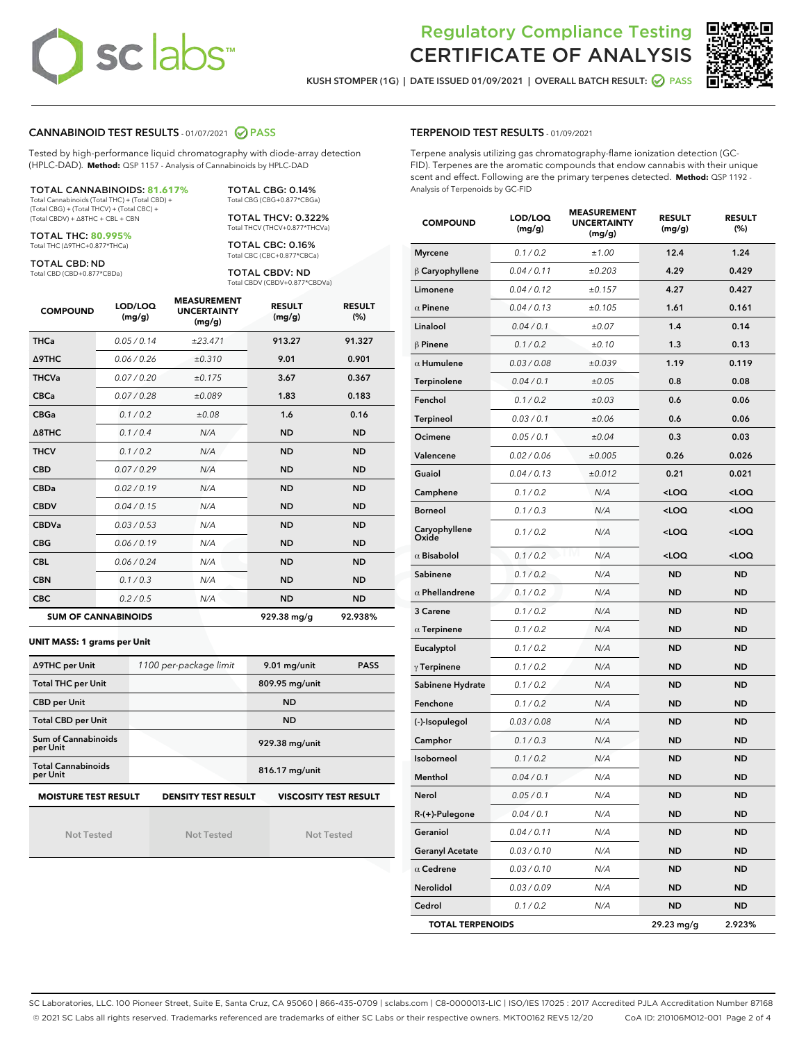# **sc labs**™

# Regulatory Compliance Testing CERTIFICATE OF ANALYSIS

KUSH STOMPER (1G) | DATE ISSUED 01/09/2021 | OVERALL BATCH RESULT: @ PASS



## CANNABINOID TEST RESULTS - 01/07/2021 2 PASS

Tested by high-performance liquid chromatography with diode-array detection (HPLC-DAD). **Method:** QSP 1157 - Analysis of Cannabinoids by HPLC-DAD

## TOTAL CANNABINOIDS: **81.617%**

Total Cannabinoids (Total THC) + (Total CBD) + (Total CBG) + (Total THCV) + (Total CBC) + (Total CBDV) + ∆8THC + CBL + CBN

TOTAL THC: **80.995%** Total THC (∆9THC+0.877\*THCa)

TOTAL CBD: ND

Total CBD (CBD+0.877\*CBDa)

TOTAL CBG: 0.14% Total CBG (CBG+0.877\*CBGa) TOTAL THCV: 0.322%

Total THCV (THCV+0.877\*THCVa)

TOTAL CBC: 0.16% Total CBC (CBC+0.877\*CBCa)

TOTAL CBDV: ND Total CBDV (CBDV+0.877\*CBDVa)

| <b>COMPOUND</b>  | LOD/LOQ<br>(mg/g)          | <b>MEASUREMENT</b><br><b>UNCERTAINTY</b><br>(mg/g) | <b>RESULT</b><br>(mg/g) | <b>RESULT</b><br>(%) |
|------------------|----------------------------|----------------------------------------------------|-------------------------|----------------------|
| <b>THCa</b>      | 0.05/0.14                  | ±23.471                                            | 913.27                  | 91.327               |
| <b>A9THC</b>     | 0.06 / 0.26                | ±0.310                                             | 9.01                    | 0.901                |
| <b>THCVa</b>     | 0.07/0.20                  | ±0.175                                             | 3.67                    | 0.367                |
| <b>CBCa</b>      | 0.07/0.28                  | ±0.089                                             | 1.83                    | 0.183                |
| <b>CBGa</b>      | 0.1 / 0.2                  | ±0.08                                              | 1.6                     | 0.16                 |
| $\triangle$ 8THC | 0.1/0.4                    | N/A                                                | <b>ND</b>               | <b>ND</b>            |
| <b>THCV</b>      | 0.1/0.2                    | N/A                                                | <b>ND</b>               | <b>ND</b>            |
| <b>CBD</b>       | 0.07/0.29                  | N/A                                                | <b>ND</b>               | <b>ND</b>            |
| <b>CBDa</b>      | 0.02/0.19                  | N/A                                                | <b>ND</b>               | <b>ND</b>            |
| <b>CBDV</b>      | 0.04 / 0.15                | N/A                                                | <b>ND</b>               | <b>ND</b>            |
| <b>CBDVa</b>     | 0.03/0.53                  | N/A                                                | <b>ND</b>               | <b>ND</b>            |
| <b>CBG</b>       | 0.06/0.19                  | N/A                                                | <b>ND</b>               | <b>ND</b>            |
| <b>CBL</b>       | 0.06 / 0.24                | N/A                                                | <b>ND</b>               | <b>ND</b>            |
| <b>CBN</b>       | 0.1/0.3                    | N/A                                                | <b>ND</b>               | <b>ND</b>            |
| <b>CBC</b>       | 0.2 / 0.5                  | N/A                                                | <b>ND</b>               | <b>ND</b>            |
|                  | <b>SUM OF CANNABINOIDS</b> |                                                    | 929.38 mg/g             | 92.938%              |

#### **UNIT MASS: 1 grams per Unit**

| ∆9THC per Unit                                                                            | 1100 per-package limit | 9.01 mg/unit   | <b>PASS</b> |  |  |
|-------------------------------------------------------------------------------------------|------------------------|----------------|-------------|--|--|
| <b>Total THC per Unit</b>                                                                 |                        | 809.95 mg/unit |             |  |  |
| <b>CBD per Unit</b>                                                                       |                        | <b>ND</b>      |             |  |  |
| <b>Total CBD per Unit</b>                                                                 |                        | <b>ND</b>      |             |  |  |
| Sum of Cannabinoids<br>per Unit                                                           |                        | 929.38 mg/unit |             |  |  |
| <b>Total Cannabinoids</b><br>per Unit                                                     |                        | 816.17 mg/unit |             |  |  |
| <b>MOISTURE TEST RESULT</b><br><b>VISCOSITY TEST RESULT</b><br><b>DENSITY TEST RESULT</b> |                        |                |             |  |  |

Not Tested

Not Tested

Not Tested

#### TERPENOID TEST RESULTS - 01/09/2021

Terpene analysis utilizing gas chromatography-flame ionization detection (GC-FID). Terpenes are the aromatic compounds that endow cannabis with their unique scent and effect. Following are the primary terpenes detected. **Method:** QSP 1192 - Analysis of Terpenoids by GC-FID

| <b>COMPOUND</b>         | LOD/LOQ<br>(mg/g) | <b>MEASUREMENT</b><br><b>UNCERTAINTY</b><br>(mg/g) | <b>RESULT</b><br>(mg/g)                         | <b>RESULT</b><br>(%) |
|-------------------------|-------------------|----------------------------------------------------|-------------------------------------------------|----------------------|
| <b>Myrcene</b>          | 0.1 / 0.2         | ±1.00                                              | 12.4                                            | 1.24                 |
| $\beta$ Caryophyllene   | 0.04 / 0.11       | ±0.203                                             | 4.29                                            | 0.429                |
| Limonene                | 0.04 / 0.12       | ±0.157                                             | 4.27                                            | 0.427                |
| $\alpha$ Pinene         | 0.04 / 0.13       | ±0.105                                             | 1.61                                            | 0.161                |
| Linalool                | 0.04 / 0.1        | ±0.07                                              | 1.4                                             | 0.14                 |
| $\beta$ Pinene          | 0.1 / 0.2         | ±0.10                                              | 1.3                                             | 0.13                 |
| $\alpha$ Humulene       | 0.03 / 0.08       | ±0.039                                             | 1.19                                            | 0.119                |
| Terpinolene             | 0.04 / 0.1        | ±0.05                                              | 0.8                                             | 0.08                 |
| Fenchol                 | 0.1 / 0.2         | ±0.03                                              | 0.6                                             | 0.06                 |
| Terpineol               | 0.03 / 0.1        | ±0.06                                              | 0.6                                             | 0.06                 |
| Ocimene                 | 0.05 / 0.1        | ±0.04                                              | 0.3                                             | 0.03                 |
| Valencene               | 0.02 / 0.06       | ±0.005                                             | 0.26                                            | 0.026                |
| Guaiol                  | 0.04 / 0.13       | ±0.012                                             | 0.21                                            | 0.021                |
| Camphene                | 0.1 / 0.2         | N/A                                                | <loq< th=""><th><loq< th=""></loq<></th></loq<> | <loq< th=""></loq<>  |
| <b>Borneol</b>          | 0.1 / 0.3         | N/A                                                | <loq< th=""><th><loq< th=""></loq<></th></loq<> | <loq< th=""></loq<>  |
| Caryophyllene<br>Oxide  | 0.1 / 0.2         | N/A                                                | <loq< th=""><th><loq< th=""></loq<></th></loq<> | <loq< th=""></loq<>  |
| $\alpha$ Bisabolol      | 0.1 / 0.2         | N/A                                                | <loq< th=""><th><loq< th=""></loq<></th></loq<> | <loq< th=""></loq<>  |
| Sabinene                | 0.1 / 0.2         | N/A                                                | <b>ND</b>                                       | <b>ND</b>            |
| $\alpha$ Phellandrene   | 0.1 / 0.2         | N/A                                                | <b>ND</b>                                       | <b>ND</b>            |
| 3 Carene                | 0.1 / 0.2         | N/A                                                | <b>ND</b>                                       | ND                   |
| $\alpha$ Terpinene      | 0.1 / 0.2         | N/A                                                | <b>ND</b>                                       | <b>ND</b>            |
| Eucalyptol              | 0.1 / 0.2         | N/A                                                | <b>ND</b>                                       | <b>ND</b>            |
| $\gamma$ Terpinene      | 0.1 / 0.2         | N/A                                                | <b>ND</b>                                       | <b>ND</b>            |
| Sabinene Hydrate        | 0.1 / 0.2         | N/A                                                | ND                                              | <b>ND</b>            |
| Fenchone                | 0.1 / 0.2         | N/A                                                | <b>ND</b>                                       | <b>ND</b>            |
| (-)-Isopulegol          | 0.03 / 0.08       | N/A                                                | <b>ND</b>                                       | ND                   |
| Camphor                 | 0.1 / 0.3         | N/A                                                | ND                                              | <b>ND</b>            |
| <b>Isoborneol</b>       | 0.1 / 0.2         | N/A                                                | <b>ND</b>                                       | <b>ND</b>            |
| Menthol                 | 0.04 / 0.1        | N/A                                                | <b>ND</b>                                       | <b>ND</b>            |
| Nerol                   | 0.05 / 0.1        | N/A                                                | <b>ND</b>                                       | <b>ND</b>            |
| R-(+)-Pulegone          | 0.04 / 0.1        | N/A                                                | ND                                              | ND                   |
| Geraniol                | 0.04 / 0.11       | N/A                                                | ND                                              | ND                   |
| <b>Geranyl Acetate</b>  | 0.03 / 0.10       | N/A                                                | ND                                              | ND                   |
| $\alpha$ Cedrene        | 0.03 / 0.10       | N/A                                                | ND                                              | ND                   |
| Nerolidol               | 0.03 / 0.09       | N/A                                                | ND                                              | <b>ND</b>            |
| Cedrol                  | 0.1 / 0.2         | N/A                                                | <b>ND</b>                                       | ND                   |
| <b>TOTAL TERPENOIDS</b> |                   |                                                    | 29.23 mg/g                                      | 2.923%               |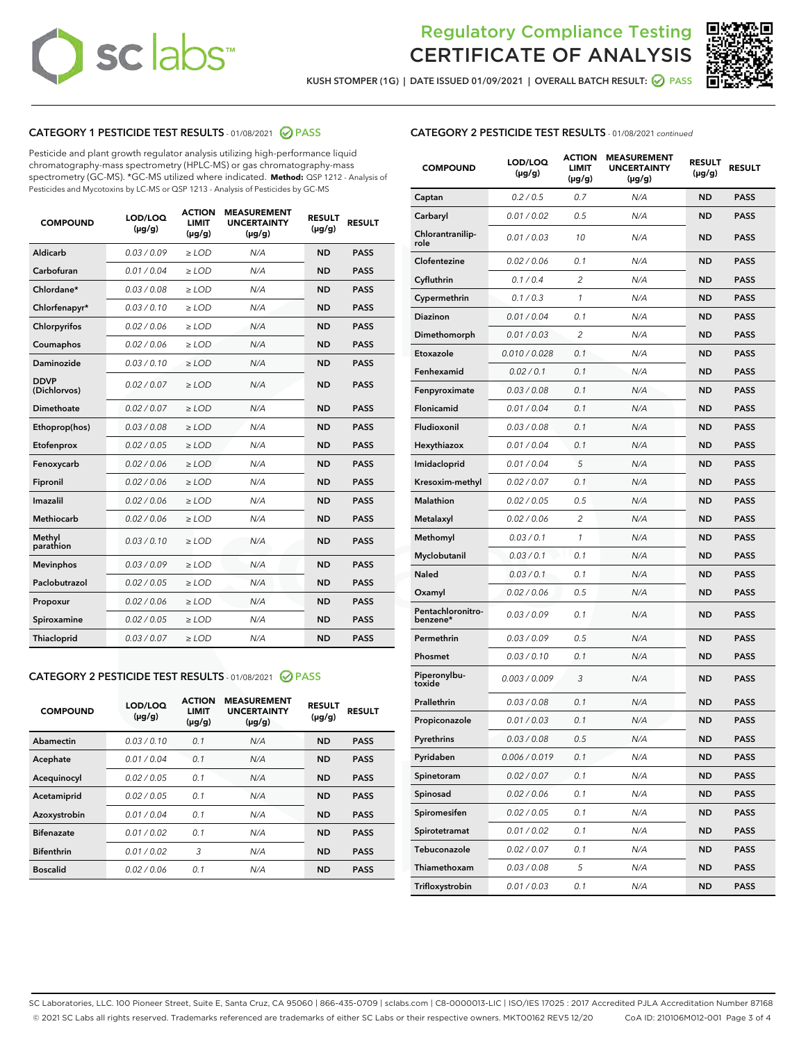# **sc** labs™

# Regulatory Compliance Testing CERTIFICATE OF ANALYSIS



KUSH STOMPER (1G) | DATE ISSUED 01/09/2021 | OVERALL BATCH RESULT: @ PASS

## CATEGORY 1 PESTICIDE TEST RESULTS - 01/08/2021 @ PASS

Pesticide and plant growth regulator analysis utilizing high-performance liquid chromatography-mass spectrometry (HPLC-MS) or gas chromatography-mass spectrometry (GC-MS). \*GC-MS utilized where indicated. **Method:** QSP 1212 - Analysis of Pesticides and Mycotoxins by LC-MS or QSP 1213 - Analysis of Pesticides by GC-MS

| 0.03/0.09<br><b>ND</b><br>Aldicarb<br>$>$ LOD<br>N/A<br><b>PASS</b><br>Carbofuran<br>0.01/0.04<br><b>ND</b><br><b>PASS</b><br>$>$ LOD<br>N/A<br>Chlordane*<br>0.03 / 0.08<br>N/A<br><b>ND</b><br><b>PASS</b><br>$\ge$ LOD<br>Chlorfenapyr*<br>0.03/0.10<br><b>ND</b><br><b>PASS</b><br>$\ge$ LOD<br>N/A<br>N/A<br><b>ND</b><br><b>PASS</b><br>Chlorpyrifos<br>0.02 / 0.06<br>$\ge$ LOD<br>Coumaphos<br>0.02 / 0.06<br>N/A<br><b>ND</b><br><b>PASS</b><br>$\ge$ LOD<br>Daminozide<br>0.03/0.10<br>N/A<br><b>ND</b><br><b>PASS</b><br>$\ge$ LOD<br><b>DDVP</b><br>0.02/0.07<br>$>$ LOD<br><b>ND</b><br><b>PASS</b><br>N/A<br>(Dichlorvos)<br>Dimethoate<br>0.02/0.07<br>$>$ LOD<br>N/A<br><b>ND</b><br><b>PASS</b><br><b>ND</b><br><b>PASS</b><br>Ethoprop(hos)<br>0.03 / 0.08<br>$\ge$ LOD<br>N/A<br>0.02 / 0.05<br>N/A<br><b>ND</b><br><b>PASS</b><br>Etofenprox<br>$\ge$ LOD<br>Fenoxycarb<br>0.02/0.06<br>N/A<br><b>ND</b><br><b>PASS</b><br>$\ge$ LOD<br>0.02 / 0.06<br><b>ND</b><br><b>PASS</b><br>Fipronil<br>$\ge$ LOD<br>N/A<br>Imazalil<br>0.02 / 0.06<br>$\ge$ LOD<br>N/A<br><b>ND</b><br><b>PASS</b><br>Methiocarb<br>0.02 / 0.06<br><b>PASS</b><br>$\ge$ LOD<br>N/A<br><b>ND</b><br>Methyl<br>0.03/0.10<br>$\ge$ LOD<br>N/A<br><b>ND</b><br><b>PASS</b><br>parathion<br>0.03/0.09<br><b>ND</b><br><b>Mevinphos</b><br>$\ge$ LOD<br>N/A<br><b>PASS</b><br>Paclobutrazol<br>0.02 / 0.05<br>$\ge$ LOD<br>N/A<br><b>ND</b><br><b>PASS</b><br>0.02 / 0.06<br>$\ge$ LOD<br>N/A<br><b>ND</b><br><b>PASS</b><br>Propoxur<br>Spiroxamine<br>0.02 / 0.05<br>$\ge$ LOD<br>N/A<br><b>ND</b><br><b>PASS</b><br>0.03/0.07<br><b>ND</b><br><b>PASS</b><br><b>Thiacloprid</b><br>$\ge$ LOD<br>N/A | <b>COMPOUND</b> | LOD/LOQ<br>$(\mu g/g)$ | <b>ACTION</b><br>LIMIT<br>$(\mu g/g)$ | <b>MEASUREMENT</b><br><b>UNCERTAINTY</b><br>$(\mu g/g)$ | <b>RESULT</b><br>$(\mu g/g)$ | <b>RESULT</b> |
|----------------------------------------------------------------------------------------------------------------------------------------------------------------------------------------------------------------------------------------------------------------------------------------------------------------------------------------------------------------------------------------------------------------------------------------------------------------------------------------------------------------------------------------------------------------------------------------------------------------------------------------------------------------------------------------------------------------------------------------------------------------------------------------------------------------------------------------------------------------------------------------------------------------------------------------------------------------------------------------------------------------------------------------------------------------------------------------------------------------------------------------------------------------------------------------------------------------------------------------------------------------------------------------------------------------------------------------------------------------------------------------------------------------------------------------------------------------------------------------------------------------------------------------------------------------------------------------------------------------------------------------------------------------------------------------------|-----------------|------------------------|---------------------------------------|---------------------------------------------------------|------------------------------|---------------|
|                                                                                                                                                                                                                                                                                                                                                                                                                                                                                                                                                                                                                                                                                                                                                                                                                                                                                                                                                                                                                                                                                                                                                                                                                                                                                                                                                                                                                                                                                                                                                                                                                                                                                              |                 |                        |                                       |                                                         |                              |               |
|                                                                                                                                                                                                                                                                                                                                                                                                                                                                                                                                                                                                                                                                                                                                                                                                                                                                                                                                                                                                                                                                                                                                                                                                                                                                                                                                                                                                                                                                                                                                                                                                                                                                                              |                 |                        |                                       |                                                         |                              |               |
|                                                                                                                                                                                                                                                                                                                                                                                                                                                                                                                                                                                                                                                                                                                                                                                                                                                                                                                                                                                                                                                                                                                                                                                                                                                                                                                                                                                                                                                                                                                                                                                                                                                                                              |                 |                        |                                       |                                                         |                              |               |
|                                                                                                                                                                                                                                                                                                                                                                                                                                                                                                                                                                                                                                                                                                                                                                                                                                                                                                                                                                                                                                                                                                                                                                                                                                                                                                                                                                                                                                                                                                                                                                                                                                                                                              |                 |                        |                                       |                                                         |                              |               |
|                                                                                                                                                                                                                                                                                                                                                                                                                                                                                                                                                                                                                                                                                                                                                                                                                                                                                                                                                                                                                                                                                                                                                                                                                                                                                                                                                                                                                                                                                                                                                                                                                                                                                              |                 |                        |                                       |                                                         |                              |               |
|                                                                                                                                                                                                                                                                                                                                                                                                                                                                                                                                                                                                                                                                                                                                                                                                                                                                                                                                                                                                                                                                                                                                                                                                                                                                                                                                                                                                                                                                                                                                                                                                                                                                                              |                 |                        |                                       |                                                         |                              |               |
|                                                                                                                                                                                                                                                                                                                                                                                                                                                                                                                                                                                                                                                                                                                                                                                                                                                                                                                                                                                                                                                                                                                                                                                                                                                                                                                                                                                                                                                                                                                                                                                                                                                                                              |                 |                        |                                       |                                                         |                              |               |
|                                                                                                                                                                                                                                                                                                                                                                                                                                                                                                                                                                                                                                                                                                                                                                                                                                                                                                                                                                                                                                                                                                                                                                                                                                                                                                                                                                                                                                                                                                                                                                                                                                                                                              |                 |                        |                                       |                                                         |                              |               |
|                                                                                                                                                                                                                                                                                                                                                                                                                                                                                                                                                                                                                                                                                                                                                                                                                                                                                                                                                                                                                                                                                                                                                                                                                                                                                                                                                                                                                                                                                                                                                                                                                                                                                              |                 |                        |                                       |                                                         |                              |               |
|                                                                                                                                                                                                                                                                                                                                                                                                                                                                                                                                                                                                                                                                                                                                                                                                                                                                                                                                                                                                                                                                                                                                                                                                                                                                                                                                                                                                                                                                                                                                                                                                                                                                                              |                 |                        |                                       |                                                         |                              |               |
|                                                                                                                                                                                                                                                                                                                                                                                                                                                                                                                                                                                                                                                                                                                                                                                                                                                                                                                                                                                                                                                                                                                                                                                                                                                                                                                                                                                                                                                                                                                                                                                                                                                                                              |                 |                        |                                       |                                                         |                              |               |
|                                                                                                                                                                                                                                                                                                                                                                                                                                                                                                                                                                                                                                                                                                                                                                                                                                                                                                                                                                                                                                                                                                                                                                                                                                                                                                                                                                                                                                                                                                                                                                                                                                                                                              |                 |                        |                                       |                                                         |                              |               |
|                                                                                                                                                                                                                                                                                                                                                                                                                                                                                                                                                                                                                                                                                                                                                                                                                                                                                                                                                                                                                                                                                                                                                                                                                                                                                                                                                                                                                                                                                                                                                                                                                                                                                              |                 |                        |                                       |                                                         |                              |               |
|                                                                                                                                                                                                                                                                                                                                                                                                                                                                                                                                                                                                                                                                                                                                                                                                                                                                                                                                                                                                                                                                                                                                                                                                                                                                                                                                                                                                                                                                                                                                                                                                                                                                                              |                 |                        |                                       |                                                         |                              |               |
|                                                                                                                                                                                                                                                                                                                                                                                                                                                                                                                                                                                                                                                                                                                                                                                                                                                                                                                                                                                                                                                                                                                                                                                                                                                                                                                                                                                                                                                                                                                                                                                                                                                                                              |                 |                        |                                       |                                                         |                              |               |
|                                                                                                                                                                                                                                                                                                                                                                                                                                                                                                                                                                                                                                                                                                                                                                                                                                                                                                                                                                                                                                                                                                                                                                                                                                                                                                                                                                                                                                                                                                                                                                                                                                                                                              |                 |                        |                                       |                                                         |                              |               |
|                                                                                                                                                                                                                                                                                                                                                                                                                                                                                                                                                                                                                                                                                                                                                                                                                                                                                                                                                                                                                                                                                                                                                                                                                                                                                                                                                                                                                                                                                                                                                                                                                                                                                              |                 |                        |                                       |                                                         |                              |               |
|                                                                                                                                                                                                                                                                                                                                                                                                                                                                                                                                                                                                                                                                                                                                                                                                                                                                                                                                                                                                                                                                                                                                                                                                                                                                                                                                                                                                                                                                                                                                                                                                                                                                                              |                 |                        |                                       |                                                         |                              |               |
|                                                                                                                                                                                                                                                                                                                                                                                                                                                                                                                                                                                                                                                                                                                                                                                                                                                                                                                                                                                                                                                                                                                                                                                                                                                                                                                                                                                                                                                                                                                                                                                                                                                                                              |                 |                        |                                       |                                                         |                              |               |
|                                                                                                                                                                                                                                                                                                                                                                                                                                                                                                                                                                                                                                                                                                                                                                                                                                                                                                                                                                                                                                                                                                                                                                                                                                                                                                                                                                                                                                                                                                                                                                                                                                                                                              |                 |                        |                                       |                                                         |                              |               |
|                                                                                                                                                                                                                                                                                                                                                                                                                                                                                                                                                                                                                                                                                                                                                                                                                                                                                                                                                                                                                                                                                                                                                                                                                                                                                                                                                                                                                                                                                                                                                                                                                                                                                              |                 |                        |                                       |                                                         |                              |               |

## CATEGORY 2 PESTICIDE TEST RESULTS - 01/08/2021 @ PASS

| <b>COMPOUND</b>   | LOD/LOQ<br>$(\mu g/g)$ | <b>ACTION</b><br>LIMIT<br>$(\mu g/g)$ | <b>MEASUREMENT</b><br><b>UNCERTAINTY</b><br>$(\mu g/g)$ | <b>RESULT</b><br>$(\mu g/g)$ | <b>RESULT</b> |
|-------------------|------------------------|---------------------------------------|---------------------------------------------------------|------------------------------|---------------|
| Abamectin         | 0.03/0.10              | 0.1                                   | N/A                                                     | <b>ND</b>                    | <b>PASS</b>   |
| Acephate          | 0.01/0.04              | 0.1                                   | N/A                                                     | <b>ND</b>                    | <b>PASS</b>   |
| Acequinocyl       | 0.02/0.05              | 0.1                                   | N/A                                                     | <b>ND</b>                    | <b>PASS</b>   |
| Acetamiprid       | 0.02/0.05              | 0.1                                   | N/A                                                     | <b>ND</b>                    | <b>PASS</b>   |
| Azoxystrobin      | 0.01/0.04              | 0.1                                   | N/A                                                     | <b>ND</b>                    | <b>PASS</b>   |
| <b>Bifenazate</b> | 0.01/0.02              | 0.1                                   | N/A                                                     | <b>ND</b>                    | <b>PASS</b>   |
| <b>Bifenthrin</b> | 0.01/0.02              | 3                                     | N/A                                                     | <b>ND</b>                    | <b>PASS</b>   |
| <b>Boscalid</b>   | 0.02/0.06              | 0.1                                   | N/A                                                     | <b>ND</b>                    | <b>PASS</b>   |
|                   |                        |                                       |                                                         |                              |               |

| <b>COMPOUND</b>               | LOD/LOQ<br>$(\mu g/g)$ | <b>ACTION</b><br><b>LIMIT</b><br>$(\mu g/g)$ | <b>MEASUREMENT</b><br><b>UNCERTAINTY</b><br>(µg/g) | <b>RESULT</b><br>(µg/g) | <b>RESULT</b> |
|-------------------------------|------------------------|----------------------------------------------|----------------------------------------------------|-------------------------|---------------|
| Captan                        | 0.2 / 0.5              | 0.7                                          | N/A                                                | <b>ND</b>               | <b>PASS</b>   |
| Carbaryl                      | 0.01 / 0.02            | 0.5                                          | N/A                                                | ND                      | <b>PASS</b>   |
| Chlorantranilip-<br>role      | 0.01 / 0.03            | 10                                           | N/A                                                | ND                      | <b>PASS</b>   |
| Clofentezine                  | 0.02 / 0.06            | 0.1                                          | N/A                                                | ND                      | <b>PASS</b>   |
| Cyfluthrin                    | 0.1/0.4                | $\overline{2}$                               | N/A                                                | ND                      | <b>PASS</b>   |
| Cypermethrin                  | 0.1 / 0.3              | 1                                            | N/A                                                | ND                      | <b>PASS</b>   |
| <b>Diazinon</b>               | 0.01 / 0.04            | 0.1                                          | N/A                                                | ND                      | PASS          |
| Dimethomorph                  | 0.01 / 0.03            | 2                                            | N/A                                                | ND                      | <b>PASS</b>   |
| Etoxazole                     | 0.010 / 0.028          | 0.1                                          | N/A                                                | ND                      | <b>PASS</b>   |
| Fenhexamid                    | 0.02 / 0.1             | 0.1                                          | N/A                                                | ND                      | <b>PASS</b>   |
| Fenpyroximate                 | 0.03 / 0.08            | 0.1                                          | N/A                                                | ND                      | <b>PASS</b>   |
| Flonicamid                    | 0.01 / 0.04            | 0.1                                          | N/A                                                | ND                      | <b>PASS</b>   |
| Fludioxonil                   | 0.03/0.08              | 0.1                                          | N/A                                                | ND                      | PASS          |
| Hexythiazox                   | 0.01 / 0.04            | 0.1                                          | N/A                                                | ND                      | <b>PASS</b>   |
| Imidacloprid                  | 0.01 / 0.04            | 5                                            | N/A                                                | ND                      | <b>PASS</b>   |
| Kresoxim-methyl               | 0.02 / 0.07            | 0.1                                          | N/A                                                | ND                      | <b>PASS</b>   |
| <b>Malathion</b>              | 0.02 / 0.05            | 0.5                                          | N/A                                                | ND                      | <b>PASS</b>   |
| Metalaxyl                     | 0.02 / 0.06            | 2                                            | N/A                                                | ND                      | <b>PASS</b>   |
| Methomyl                      | 0.03 / 0.1             | 1                                            | N/A                                                | ND                      | PASS          |
| Myclobutanil                  | 0.03 / 0.1             | 0.1                                          | N/A                                                | ND                      | <b>PASS</b>   |
| Naled                         | 0.03 / 0.1             | 0.1                                          | N/A                                                | ND                      | <b>PASS</b>   |
| Oxamyl                        | 0.02 / 0.06            | 0.5                                          | N/A                                                | ND                      | PASS          |
| Pentachloronitro-<br>benzene* | 0.03 / 0.09            | 0.1                                          | N/A                                                | ND                      | <b>PASS</b>   |
| Permethrin                    | 0.03 / 0.09            | 0.5                                          | N/A                                                | ND                      | <b>PASS</b>   |
| Phosmet                       | 0.03 / 0.10            | 0.1                                          | N/A                                                | ND                      | <b>PASS</b>   |
| Piperonylbu-<br>toxide        | 0.003 / 0.009          | 3                                            | N/A                                                | ND                      | <b>PASS</b>   |
| Prallethrin                   | 0.03 / 0.08            | 0.1                                          | N/A                                                | ND                      | <b>PASS</b>   |
| Propiconazole                 | 0.01 / 0.03            | 0.1                                          | N/A                                                | ND                      | <b>PASS</b>   |
| Pyrethrins                    | 0.03 / 0.08            | 0.5                                          | N/A                                                | ND                      | PASS          |
| Pyridaben                     | 0.006 / 0.019          | 0.1                                          | N/A                                                | ND                      | <b>PASS</b>   |
| Spinetoram                    | 0.02 / 0.07            | 0.1                                          | N/A                                                | ND                      | <b>PASS</b>   |
| Spinosad                      | 0.02 / 0.06            | 0.1                                          | N/A                                                | ND                      | <b>PASS</b>   |
| Spiromesifen                  | 0.02 / 0.05            | 0.1                                          | N/A                                                | ND                      | <b>PASS</b>   |
| Spirotetramat                 | 0.01 / 0.02            | 0.1                                          | N/A                                                | ND                      | <b>PASS</b>   |
| Tebuconazole                  | 0.02 / 0.07            | 0.1                                          | N/A                                                | ND                      | <b>PASS</b>   |
| Thiamethoxam                  | 0.03 / 0.08            | 5                                            | N/A                                                | ND                      | <b>PASS</b>   |
| Trifloxystrobin               | 0.01 / 0.03            | 0.1                                          | N/A                                                | ND                      | <b>PASS</b>   |